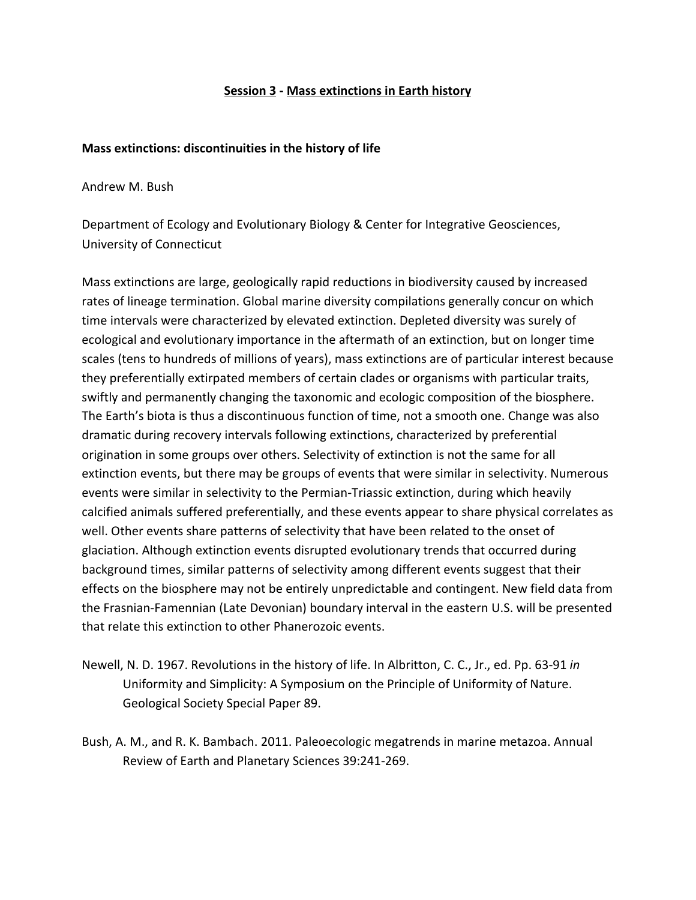### **Session 3 - Mass extinctions in Earth history**

#### **Mass extinctions: discontinuities in the history of life**

Andrew M. Bush

Department of Ecology and Evolutionary Biology & Center for Integrative Geosciences, University of Connecticut

Mass extinctions are large, geologically rapid reductions in biodiversity caused by increased rates of lineage termination. Global marine diversity compilations generally concur on which time intervals were characterized by elevated extinction. Depleted diversity was surely of ecological and evolutionary importance in the aftermath of an extinction, but on longer time scales (tens to hundreds of millions of years), mass extinctions are of particular interest because they preferentially extirpated members of certain clades or organisms with particular traits, swiftly and permanently changing the taxonomic and ecologic composition of the biosphere. The Earth's biota is thus a discontinuous function of time, not a smooth one. Change was also dramatic during recovery intervals following extinctions, characterized by preferential origination in some groups over others. Selectivity of extinction is not the same for all extinction events, but there may be groups of events that were similar in selectivity. Numerous events were similar in selectivity to the Permian-Triassic extinction, during which heavily calcified animals suffered preferentially, and these events appear to share physical correlates as well. Other events share patterns of selectivity that have been related to the onset of glaciation. Although extinction events disrupted evolutionary trends that occurred during background times, similar patterns of selectivity among different events suggest that their effects on the biosphere may not be entirely unpredictable and contingent. New field data from the Frasnian-Famennian (Late Devonian) boundary interval in the eastern U.S. will be presented that relate this extinction to other Phanerozoic events.

- Newell, N. D. 1967. Revolutions in the history of life. In Albritton, C. C., Jr., ed. Pp. 63-91 *in* Uniformity and Simplicity: A Symposium on the Principle of Uniformity of Nature. Geological Society Special Paper 89.
- Bush, A. M., and R. K. Bambach. 2011. Paleoecologic megatrends in marine metazoa. Annual Review of Earth and Planetary Sciences 39:241-269.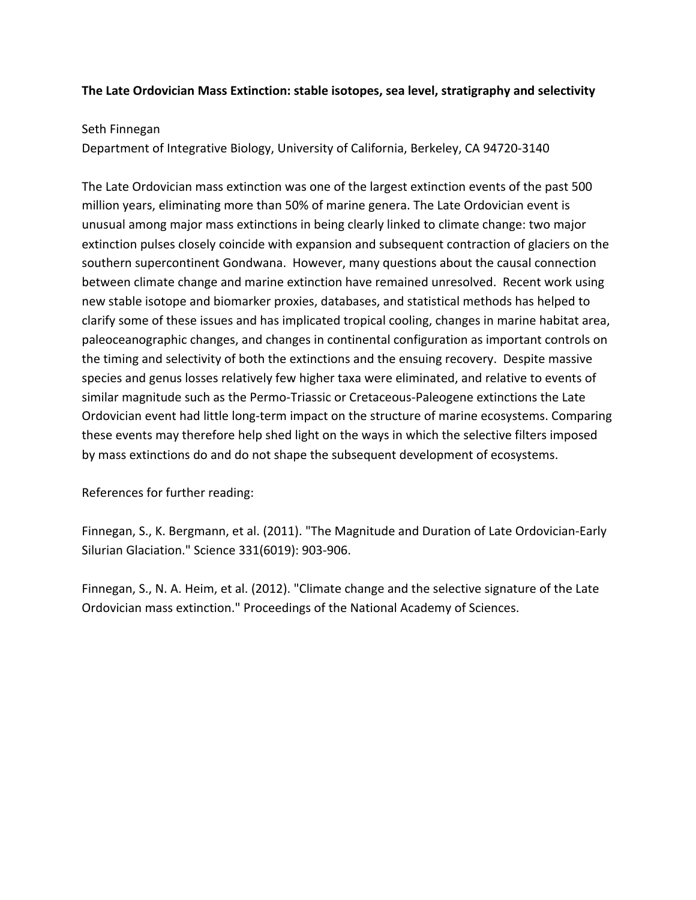### **The Late Ordovician Mass Extinction: stable isotopes, sea level, stratigraphy and selectivity**

### Seth Finnegan

Department of Integrative Biology, University of California, Berkeley, CA 94720-3140

The Late Ordovician mass extinction was one of the largest extinction events of the past 500 million years, eliminating more than 50% of marine genera. The Late Ordovician event is unusual among major mass extinctions in being clearly linked to climate change: two major extinction pulses closely coincide with expansion and subsequent contraction of glaciers on the southern supercontinent Gondwana. However, many questions about the causal connection between climate change and marine extinction have remained unresolved. Recent work using new stable isotope and biomarker proxies, databases, and statistical methods has helped to clarify some of these issues and has implicated tropical cooling, changes in marine habitat area, paleoceanographic changes, and changes in continental configuration as important controls on the timing and selectivity of both the extinctions and the ensuing recovery. Despite massive species and genus losses relatively few higher taxa were eliminated, and relative to events of similar magnitude such as the Permo-Triassic or Cretaceous-Paleogene extinctions the Late Ordovician event had little long-term impact on the structure of marine ecosystems. Comparing these events may therefore help shed light on the ways in which the selective filters imposed by mass extinctions do and do not shape the subsequent development of ecosystems.

References for further reading:

Finnegan, S., K. Bergmann, et al. (2011). "The Magnitude and Duration of Late Ordovician-Early Silurian Glaciation." Science 331(6019): 903-906.

Finnegan, S., N. A. Heim, et al. (2012). "Climate change and the selective signature of the Late Ordovician mass extinction." Proceedings of the National Academy of Sciences.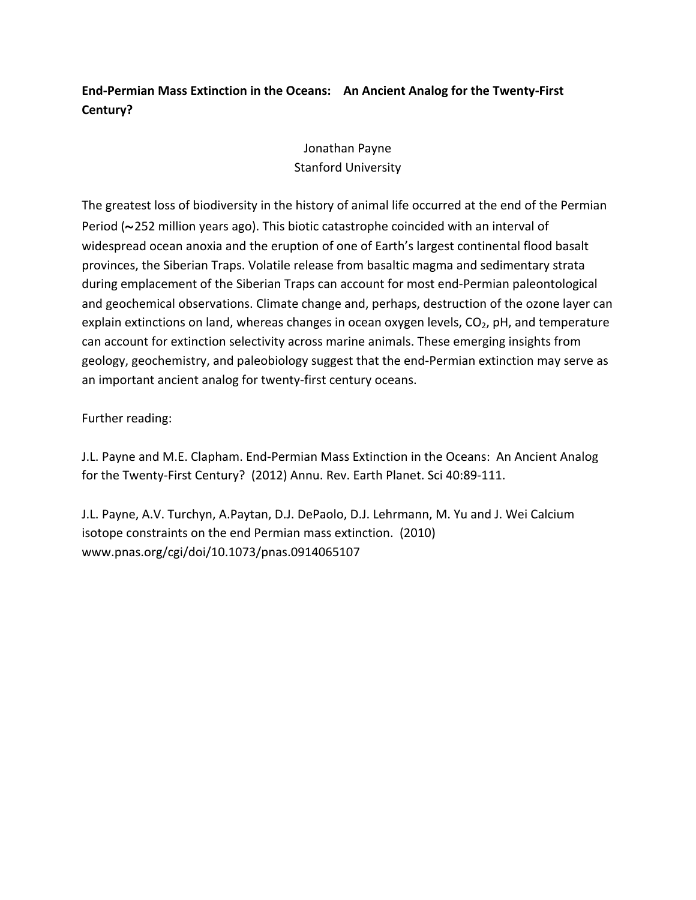# End-Permian Mass Extinction in the Oceans: An Ancient Analog for the Twenty-First **Century?**

## Jonathan Payne Stanford University

The greatest loss of biodiversity in the history of animal life occurred at the end of the Permian Period (~252 million years ago). This biotic catastrophe coincided with an interval of widespread ocean anoxia and the eruption of one of Earth's largest continental flood basalt provinces, the Siberian Traps. Volatile release from basaltic magma and sedimentary strata during emplacement of the Siberian Traps can account for most end-Permian paleontological and geochemical observations. Climate change and, perhaps, destruction of the ozone layer can explain extinctions on land, whereas changes in ocean oxygen levels,  $CO<sub>2</sub>$ , pH, and temperature can account for extinction selectivity across marine animals. These emerging insights from geology, geochemistry, and paleobiology suggest that the end-Permian extinction may serve as an important ancient analog for twenty-first century oceans.

Further reading:

J.L. Payne and M.E. Clapham. End-Permian Mass Extinction in the Oceans: An Ancient Analog for the Twenty-First Century? (2012) Annu. Rev. Earth Planet. Sci 40:89-111.

J.L. Payne, A.V. Turchyn, A.Paytan, D.J. DePaolo, D.J. Lehrmann, M. Yu and J. Wei Calcium isotope constraints on the end Permian mass extinction. (2010) www.pnas.org/cgi/doi/10.1073/pnas.0914065107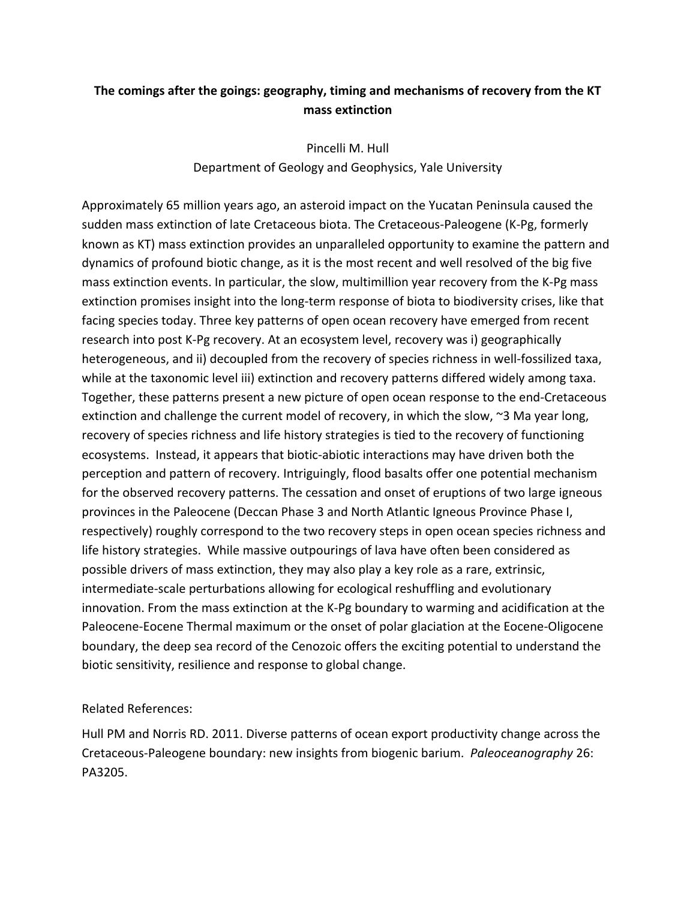### The comings after the goings: geography, timing and mechanisms of recovery from the KT **mass extinction**

Pincelli M. Hull Department of Geology and Geophysics, Yale University

Approximately 65 million years ago, an asteroid impact on the Yucatan Peninsula caused the sudden mass extinction of late Cretaceous biota. The Cretaceous-Paleogene (K-Pg, formerly known as KT) mass extinction provides an unparalleled opportunity to examine the pattern and dynamics of profound biotic change, as it is the most recent and well resolved of the big five mass extinction events. In particular, the slow, multimillion year recovery from the K-Pg mass extinction promises insight into the long-term response of biota to biodiversity crises, like that facing species today. Three key patterns of open ocean recovery have emerged from recent research into post K-Pg recovery. At an ecosystem level, recovery was i) geographically heterogeneous, and ii) decoupled from the recovery of species richness in well-fossilized taxa, while at the taxonomic level iii) extinction and recovery patterns differed widely among taxa. Together, these patterns present a new picture of open ocean response to the end-Cretaceous extinction and challenge the current model of recovery, in which the slow,  $\sim$ 3 Ma year long, recovery of species richness and life history strategies is tied to the recovery of functioning ecosystems. Instead, it appears that biotic-abiotic interactions may have driven both the perception and pattern of recovery. Intriguingly, flood basalts offer one potential mechanism for the observed recovery patterns. The cessation and onset of eruptions of two large igneous provinces in the Paleocene (Deccan Phase 3 and North Atlantic Igneous Province Phase I, respectively) roughly correspond to the two recovery steps in open ocean species richness and life history strategies. While massive outpourings of lava have often been considered as possible drivers of mass extinction, they may also play a key role as a rare, extrinsic, intermediate-scale perturbations allowing for ecological reshuffling and evolutionary innovation. From the mass extinction at the K-Pg boundary to warming and acidification at the Paleocene-Eocene Thermal maximum or the onset of polar glaciation at the Eocene-Oligocene boundary, the deep sea record of the Cenozoic offers the exciting potential to understand the biotic sensitivity, resilience and response to global change.

### Related References:

Hull PM and Norris RD. 2011. Diverse patterns of ocean export productivity change across the Cretaceous-Paleogene boundary: new insights from biogenic barium. *Paleoceanography* 26: PA3205.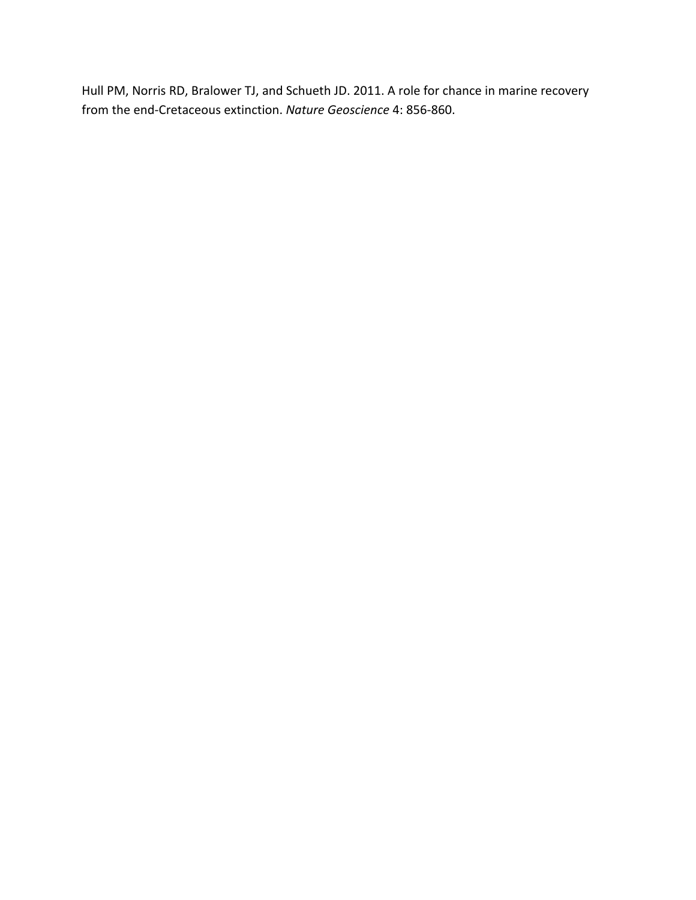Hull PM, Norris RD, Bralower TJ, and Schueth JD. 2011. A role for chance in marine recovery from the end-Cretaceous extinction. *Nature Geoscience* 4: 856-860.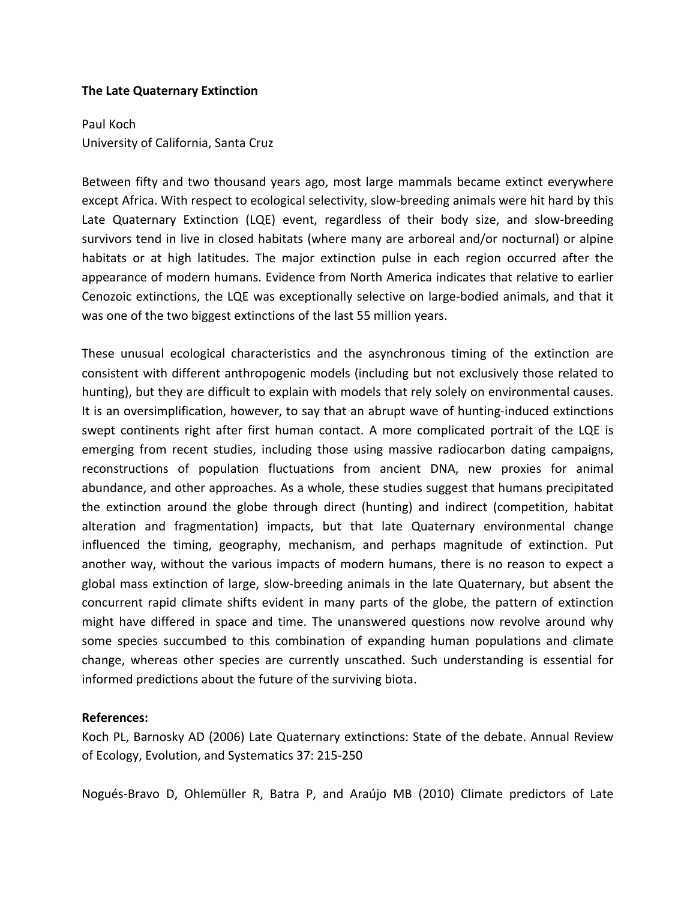#### **The Late Quaternary Extinction**

Paul Koch University of California, Santa Cruz

Between fifty and two thousand years ago, most large mammals became extinct everywhere except Africa. With respect to ecological selectivity, slow-breeding animals were hit hard by this Late Quaternary Extinction (LQE) event, regardless of their body size, and slow-breeding survivors tend in live in closed habitats (where many are arboreal and/or nocturnal) or alpine habitats or at high latitudes. The major extinction pulse in each region occurred after the appearance of modern humans. Evidence from North America indicates that relative to earlier Cenozoic extinctions, the LQE was exceptionally selective on large-bodied animals, and that it was one of the two biggest extinctions of the last 55 million years.

These unusual ecological characteristics and the asynchronous timing of the extinction are consistent with different anthropogenic models (including but not exclusively those related to hunting), but they are difficult to explain with models that rely solely on environmental causes. It is an oversimplification, however, to say that an abrupt wave of hunting-induced extinctions swept continents right after first human contact. A more complicated portrait of the LQE is emerging from recent studies, including those using massive radiocarbon dating campaigns, reconstructions of population fluctuations from ancient DNA, new proxies for animal abundance, and other approaches. As a whole, these studies suggest that humans precipitated the extinction around the globe through direct (hunting) and indirect (competition, habitat alteration and fragmentation) impacts, but that late Quaternary environmental change influenced the timing, geography, mechanism, and perhaps magnitude of extinction. Put another way, without the various impacts of modern humans, there is no reason to expect a global mass extinction of large, slow-breeding animals in the late Quaternary, but absent the concurrent rapid climate shifts evident in many parts of the globe, the pattern of extinction might have differed in space and time. The unanswered questions now revolve around why some species succumbed to this combination of expanding human populations and climate change, whereas other species are currently unscathed. Such understanding is essential for informed predictions about the future of the surviving biota.

#### **References:**

Koch PL, Barnosky AD (2006) Late Quaternary extinctions: State of the debate. Annual Review of Ecology, Evolution, and Systematics 37: 215-250

Nogués-Bravo D, Ohlemüller R, Batra P, and Araújo MB (2010) Climate predictors of Late